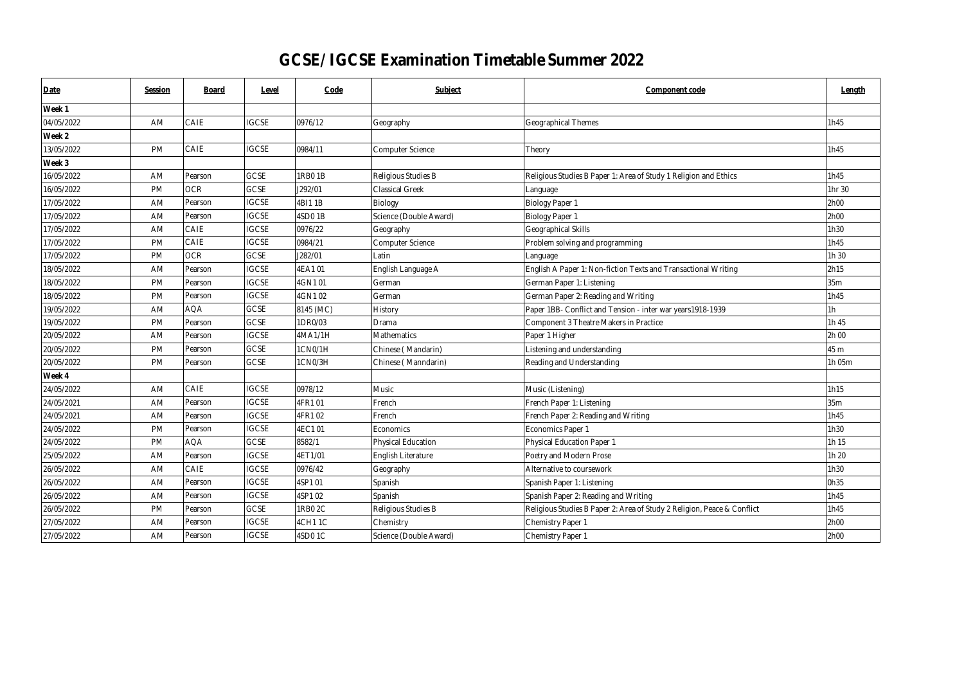| Date       | Session   | <b>Board</b> | Level        | Code      | Subject                   | Component code                                                          | Length      |
|------------|-----------|--------------|--------------|-----------|---------------------------|-------------------------------------------------------------------------|-------------|
| Week 1     |           |              |              |           |                           |                                                                         |             |
| 04/05/2022 | AM        | CAIE         | <b>IGCSE</b> | 0976/12   | Geography                 | Geographical Themes                                                     | 1h45        |
| Week 2     |           |              |              |           |                           |                                                                         |             |
| 13/05/2022 | <b>PM</b> | CAIE         | <b>IGCSE</b> | 0984/11   | Computer Science          | Theory                                                                  | 1h45        |
| Week 3     |           |              |              |           |                           |                                                                         |             |
| 16/05/2022 | AM        | Pearson      | GCSE         | 1RB01B    | Religious Studies B       | Religious Studies B Paper 1: Area of Study 1 Religion and Ethics        | 1h45        |
| 16/05/2022 | PM        | <b>OCR</b>   | GCSE         | J292/01   | <b>Classical Greek</b>    | Language                                                                | 1hr 30      |
| 17/05/2022 | <b>AM</b> | Pearson      | <b>IGCSE</b> | 4BI11B    | Biology                   | <b>Biology Paper 1</b>                                                  | 2h00        |
| 17/05/2022 | AM        | Pearson      | <b>IGCSE</b> | 4SD01B    | Science (Double Award)    | Biology Paper 1                                                         | 2h00        |
| 17/05/2022 | AM        | CAIE         | <b>IGCSE</b> | 0976/22   | Geography                 | Geographical Skills                                                     | 1h30        |
| 17/05/2022 | PM        | CAIE         | <b>IGCSE</b> | 0984/21   | Computer Science          | Problem solving and programming                                         | <b>1h45</b> |
| 17/05/2022 | <b>PM</b> | <b>OCR</b>   | <b>GCSE</b>  | J282/01   | Latin                     | Language                                                                | 1h 30       |
| 18/05/2022 | AM        | Pearson      | <b>IGCSE</b> | 4EA101    | English Language A        | English A Paper 1: Non-fiction Texts and Transactional Writing          | 2h15        |
| 18/05/2022 | PM        | Pearson      | <b>IGCSE</b> | 4GN101    | German                    | German Paper 1: Listening                                               | 35m         |
| 18/05/2022 | PM        | Pearson      | <b>IGCSE</b> | 4GN102    | German                    | German Paper 2: Reading and Writing                                     | <b>1h45</b> |
| 19/05/2022 | AM        | <b>AOA</b>   | <b>GCSE</b>  | 8145 (MC) | History                   | Paper 1BB- Conflict and Tension - inter war years 1918-1939             | 1h          |
| 19/05/2022 | PM        | Pearson      | <b>GCSE</b>  | 1DR0/03   | Drama                     | Component 3 Theatre Makers in Practice                                  | 1h 45       |
| 20/05/2022 | AM        | Pearson      | <b>IGCSE</b> | 4MA1/1H   | Mathematics               | Paper 1 Higher                                                          | 2h 00       |
| 20/05/2022 | <b>PM</b> | Pearson      | <b>GCSE</b>  | 1CN0/1H   | Chinese (Mandarin)        | Listening and understanding                                             | 45 m        |
| 20/05/2022 | PM        | Pearson      | <b>GCSE</b>  | 1CN0/3H   | Chinese (Manndarin)       | Reading and Understanding                                               | 1h 05m      |
| Week 4     |           |              |              |           |                           |                                                                         |             |
| 24/05/2022 | AM        | CAIE         | <b>IGCSE</b> | 0978/12   | Music                     | Music (Listening)                                                       | 1h15        |
| 24/05/2021 | AM        | Pearson      | <b>IGCSE</b> | 4FR101    | French                    | French Paper 1: Listening                                               | 35m         |
| 24/05/2021 | AM        | Pearson      | <b>IGCSE</b> | 4FR102    | French                    | French Paper 2: Reading and Writing                                     | 1h45        |
| 24/05/2022 | PM        | Pearson      | <b>IGCSE</b> | 4EC101    | Economics                 | Economics Paper 1                                                       | 1h30        |
| 24/05/2022 | <b>PM</b> | AQA          | GCSE         | 8582/1    | <b>Physical Education</b> | <b>Physical Education Paper 1</b>                                       | 1h15        |
| 25/05/2022 | AM        | Pearson      | <b>IGCSE</b> | 4ET1/01   | English Literature        | Poetry and Modern Prose                                                 | 1h 20       |
| 26/05/2022 | AM        | CAIE         | <b>IGCSE</b> | 0976/42   | Geography                 | Alternative to coursework                                               | 1h30        |
| 26/05/2022 | AM        | Pearson      | <b>IGCSE</b> | 4SP101    | Spanish                   | Spanish Paper 1: Listening                                              | 0h35        |
| 26/05/2022 | AM        | Pearson      | <b>IGCSE</b> | 4SP102    | Spanish                   | Spanish Paper 2: Reading and Writing                                    | 1h45        |
| 26/05/2022 | PM        | Pearson      | GCSE         | 1RB0 2C   | Religious Studies B       | Religious Studies B Paper 2: Area of Study 2 Religion, Peace & Conflict | <b>1h45</b> |
| 27/05/2022 | AM        | Pearson      | <b>IGCSE</b> | 4CH11C    | Chemistry                 | <b>Chemistry Paper 1</b>                                                | 2h00        |
| 27/05/2022 | AM        | Pearson      | <b>IGCSE</b> | 4SD01C    | Science (Double Award)    | Chemistry Paper 1                                                       | 2h00        |

## **GCSE/ IGCSE Examination Timetable Summer 2022**